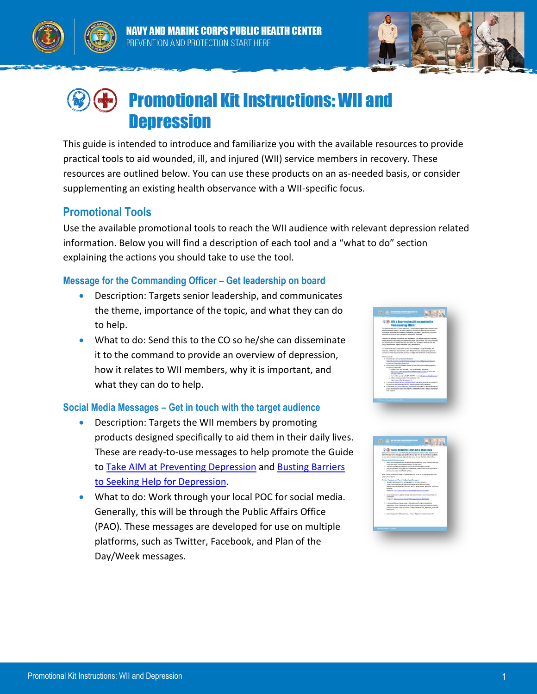



Y AND MARINE CORPS PUBLIC HEALTH CENTER PREVENTION AND PROTECTION START HERE



# Promotional Kit Instructions: WII and **Depression**

This guide is intended to introduce and familiarize you with the available resources to provide practical tools to aid wounded, ill, and injured (WII) service members in recovery. These resources are outlined below. You can use these products on an as-needed basis, or consider supplementing an existing health observance with a WII-specific focus.

## **Promotional Tools**

Use the available promotional tools to reach the WII audience with relevant depression related information. Below you will find a description of each tool and a "what to do" section explaining the actions you should take to use the tool.

#### **Message for the Commanding Officer – Get leadership on board**

- Description: Targets senior leadership, and communicates the theme, importance of the topic, and what they can do to help.
- What to do: Send this to the CO so he/she can disseminate it to the command to provide an overview of depression, how it relates to WII members, why it is important, and what they can do to help.

#### **Social Media Messages – Get in touch with the target audience**

- Description: Targets the WII members by promoting products designed specifically to aid them in their daily lives. These are ready-to-use messages to help promote the Guide to [Take AIM at Preventing Depression](http://www.med.navy.mil/sites/nmcphc/Documents/health-promotion-wellness/wounded-ill-and-injured/WII-Toolbox/Depression/WII_Depression_Guide.pdf) and Busting Barriers [to Seeking Help for Depression.](http://www.med.navy.mil/sites/nmcphc/Documents/health-promotion-wellness/wounded-ill-and-injured/WII-Toolbox/Depression/WII_Depression_FactSheet.pdf)
- What to do: Work through your local POC for social media. Generally, this will be through the Public Affairs Office (PAO). These messages are developed for use on multiple platforms, such as Twitter, Facebook, and Plan of the Day/Week messages.

| <b>With Willa Bouression: A Message for the</b>                                                                                                                                                                                                                                                                                                               |  |
|---------------------------------------------------------------------------------------------------------------------------------------------------------------------------------------------------------------------------------------------------------------------------------------------------------------------------------------------------------------|--|
| <b>Commanding Officer</b>                                                                                                                                                                                                                                                                                                                                     |  |
| The thems for this topic is "Cump Depression," which makes being presentive actions to help<br>a difference integration before it starts and overcoming common bankracks causing trackman.<br>While many people may be suspectible to depression, wounded, it, and injured (Will service<br>members may be actor due to physical or psychological challenges. |  |
| Some service members arold seeking help or the elmont, even though deprecient is knowned.                                                                                                                                                                                                                                                                     |  |
| helpha resources are available, and magment is proven to be affective. This may be related to                                                                                                                                                                                                                                                                 |  |
| last of averages of a whole manuse, motivater, fire conceans related to with and                                                                                                                                                                                                                                                                              |  |
| family research@ites, stgms, and worker shout confidentially.                                                                                                                                                                                                                                                                                                 |  |
| It is requeriate for the title population is ninor that seeking help is a can of strangilt, not                                                                                                                                                                                                                                                               |  |
| nealmen, Additionally, they should be avere of the contributors to depression, signs and                                                                                                                                                                                                                                                                      |  |
| jumptoms, where they can get help, and back strategies they can employ to help present it.                                                                                                                                                                                                                                                                    |  |
| When you can do:                                                                                                                                                                                                                                                                                                                                              |  |
| . All stores the signs and symptoms of depression:                                                                                                                                                                                                                                                                                                            |  |
| Ing 1795 Aleksandra Machael Moska (Aproximative And Aspect Inf Alexandra                                                                                                                                                                                                                                                                                      |  |
| symptoms of degree/or/inferulten/                                                                                                                                                                                                                                                                                                                             |  |
| . Imparatory to the California metal artist for his unborne class in history parameters                                                                                                                                                                                                                                                                       |  |
| sumakers of recreation                                                                                                                                                                                                                                                                                                                                        |  |
| a. Military Orisis Line (sell L-BSD-271-8) 55 and Prize L; shart entire:                                                                                                                                                                                                                                                                                      |  |
| <b>DECOMINATE RESIDENTS OF CARD IN A REPORT OF A REPORT OF A REPORT OF A REPORT OF A REPORT OF A REPORT OF A REPORT OF A REPORT OF A REPORT OF A REPORT OF A REPORT OF A REPORT OF A REPORT OF A REPORT OF A REPORT OF A REPORT </b><br>mechanic to \$20255.                                                                                                  |  |
| a Marie Others line Gd LET-230 775 or deb held Doug Absolite and                                                                                                                                                                                                                                                                                              |  |
| a Military interest or metal emission early truckly.                                                                                                                                                                                                                                                                                                          |  |
| <b>NSC / News militar pressures will</b>                                                                                                                                                                                                                                                                                                                      |  |
| . Promote the factory farrows to Lead by Hall the Copyragge Netwheat to be asseted                                                                                                                                                                                                                                                                            |  |
| the common contributors and torrient to assista transment for depression                                                                                                                                                                                                                                                                                      |  |
| . Nismote the Tana a.M.A1 freueriting Depression guide to help link service members be                                                                                                                                                                                                                                                                        |  |
| scars of degreesing's signs and currencys, instituted precedios actions, and resolve<br>their progress.                                                                                                                                                                                                                                                       |  |
|                                                                                                                                                                                                                                                                                                                                                               |  |
|                                                                                                                                                                                                                                                                                                                                                               |  |
|                                                                                                                                                                                                                                                                                                                                                               |  |
|                                                                                                                                                                                                                                                                                                                                                               |  |